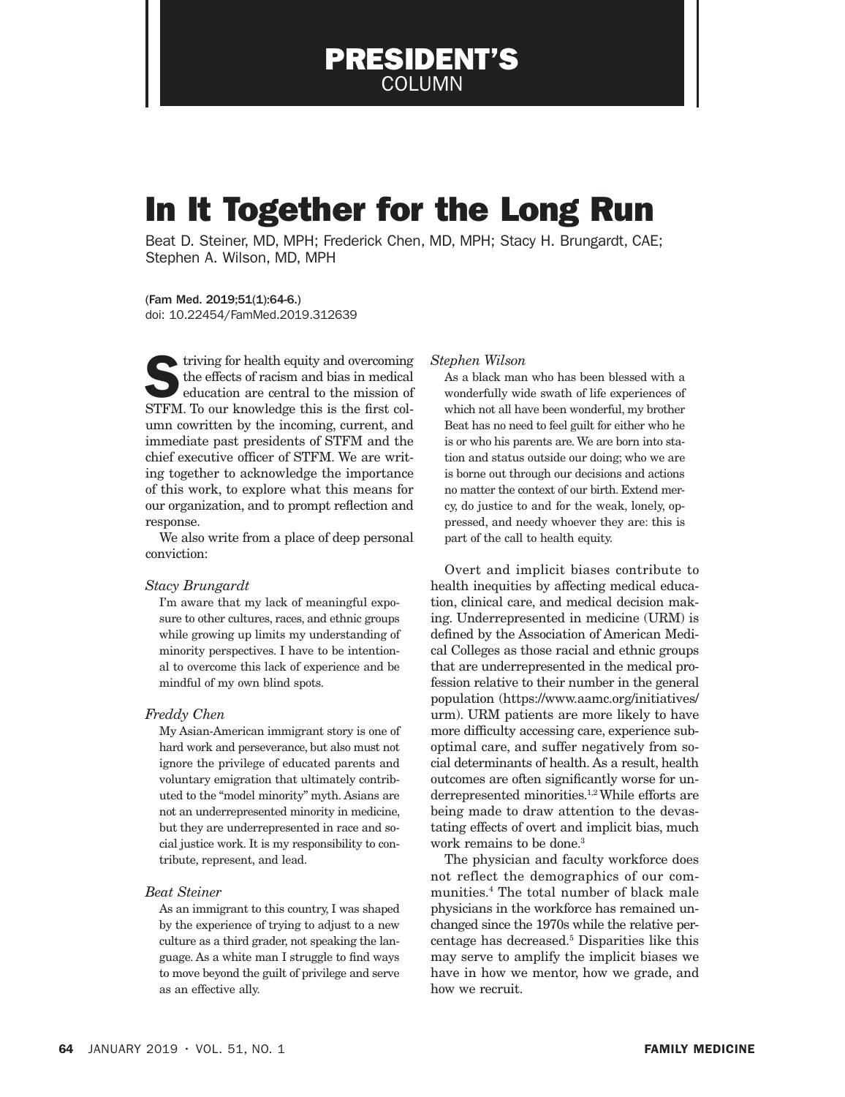PRESIDENT'S COLUMN

# In It Together for the Long Run

Beat D. Steiner, MD, MPH; Frederick Chen, MD, MPH; Stacy H. Brungardt, CAE; Stephen A. Wilson, MD, MPH

(Fam Med. 2019;51(1):64-6.) doi: 10.22454/FamMed.2019.312639

 $\blacktriangleright$  triving for health equity and overcoming the effects of racism and bias in medical education are central to the mission of STFM. To our knowledge this is the first column cowritten by the incoming, current, and immediate past presidents of STFM and the chief executive officer of STFM. We are writing together to acknowledge the importance of this work, to explore what this means for our organization, and to prompt reflection and response.

We also write from a place of deep personal conviction:

## *Stacy Brungardt*

I'm aware that my lack of meaningful exposure to other cultures, races, and ethnic groups while growing up limits my understanding of minority perspectives. I have to be intentional to overcome this lack of experience and be mindful of my own blind spots.

### *Freddy Chen*

My Asian-American immigrant story is one of hard work and perseverance, but also must not ignore the privilege of educated parents and voluntary emigration that ultimately contributed to the "model minority" myth. Asians are not an underrepresented minority in medicine, but they are underrepresented in race and social justice work. It is my responsibility to contribute, represent, and lead.

#### *Beat Steiner*

As an immigrant to this country, I was shaped by the experience of trying to adjust to a new culture as a third grader, not speaking the language. As a white man I struggle to find ways to move beyond the guilt of privilege and serve as an effective ally.

#### *Stephen Wilson*

As a black man who has been blessed with a wonderfully wide swath of life experiences of which not all have been wonderful, my brother Beat has no need to feel guilt for either who he is or who his parents are. We are born into station and status outside our doing; who we are is borne out through our decisions and actions no matter the context of our birth. Extend mercy, do justice to and for the weak, lonely, oppressed, and needy whoever they are: this is part of the call to health equity.

Overt and implicit biases contribute to health inequities by affecting medical education, clinical care, and medical decision making. Underrepresented in medicine (URM) is defined by the Association of American Medical Colleges as those racial and ethnic groups that are underrepresented in the medical profession relative to their number in the general population (https://www.aamc.org/initiatives/ urm). URM patients are more likely to have more difficulty accessing care, experience suboptimal care, and suffer negatively from social determinants of health. As a result, health outcomes are often significantly worse for underrepresented minorities.1,2 While efforts are being made to draw attention to the devastating effects of overt and implicit bias, much work remains to be done.<sup>3</sup>

The physician and faculty workforce does not reflect the demographics of our communities.4 The total number of black male physicians in the workforce has remained unchanged since the 1970s while the relative percentage has decreased.5 Disparities like this may serve to amplify the implicit biases we have in how we mentor, how we grade, and how we recruit.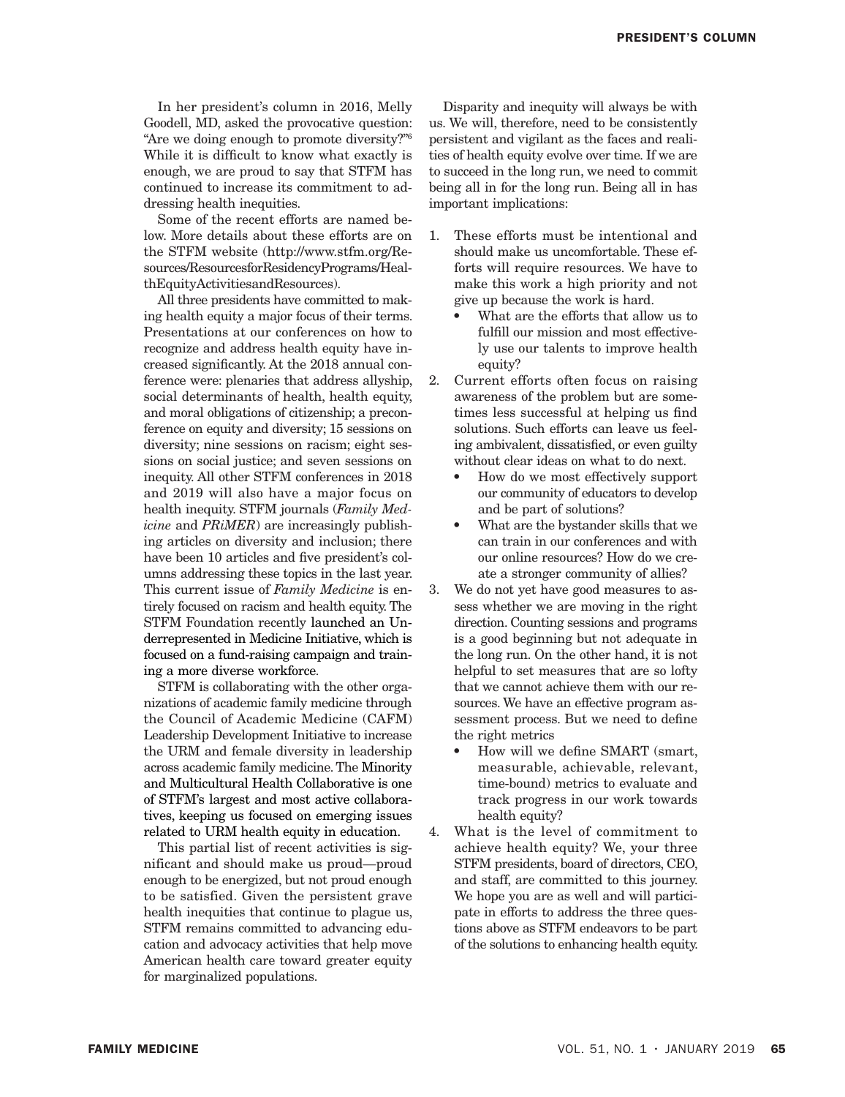In her president's column in 2016, Melly Goodell, MD, asked the provocative question: "Are we doing enough to promote diversity?"6 While it is difficult to know what exactly is enough, we are proud to say that STFM has continued to increase its commitment to addressing health inequities.

Some of the recent efforts are named below. More details about these efforts are on the STFM website (http://www.stfm.org/Resources/ResourcesforResidencyPrograms/HealthEquityActivitiesandResources).

All three presidents have committed to making health equity a major focus of their terms. Presentations at our conferences on how to recognize and address health equity have increased significantly. At the 2018 annual conference were: plenaries that address allyship, social determinants of health, health equity, and moral obligations of citizenship; a preconference on equity and diversity; 15 sessions on diversity; nine sessions on racism; eight sessions on social justice; and seven sessions on inequity. All other STFM conferences in 2018 and 2019 will also have a major focus on health inequity. STFM journals (*Family Medicine* and *PRiMER*) are increasingly publishing articles on diversity and inclusion; there have been 10 articles and five president's columns addressing these topics in the last year. This current issue of *Family Medicine* is entirely focused on racism and health equity. The STFM Foundation recently launched an Underrepresented in Medicine Initiative, which is focused on a fund-raising campaign and training a more diverse workforce.

STFM is collaborating with the other organizations of academic family medicine through the Council of Academic Medicine (CAFM) Leadership Development Initiative to increase the URM and female diversity in leadership across academic family medicine. The Minority and Multicultural Health Collaborative is one of STFM's largest and most active collaboratives, keeping us focused on emerging issues related to URM health equity in education.

This partial list of recent activities is significant and should make us proud—proud enough to be energized, but not proud enough to be satisfied. Given the persistent grave health inequities that continue to plague us, STFM remains committed to advancing education and advocacy activities that help move American health care toward greater equity for marginalized populations.

Disparity and inequity will always be with us. We will, therefore, need to be consistently persistent and vigilant as the faces and realities of health equity evolve over time. If we are to succeed in the long run, we need to commit being all in for the long run. Being all in has important implications:

- 1. These efforts must be intentional and should make us uncomfortable. These efforts will require resources. We have to make this work a high priority and not give up because the work is hard.
	- What are the efforts that allow us to fulfill our mission and most effectively use our talents to improve health equity?
- 2. Current efforts often focus on raising awareness of the problem but are sometimes less successful at helping us find solutions. Such efforts can leave us feeling ambivalent, dissatisfied, or even guilty without clear ideas on what to do next.
	- How do we most effectively support our community of educators to develop and be part of solutions?
	- What are the bystander skills that we can train in our conferences and with our online resources? How do we create a stronger community of allies?
- 3. We do not yet have good measures to assess whether we are moving in the right direction. Counting sessions and programs is a good beginning but not adequate in the long run. On the other hand, it is not helpful to set measures that are so lofty that we cannot achieve them with our resources. We have an effective program assessment process. But we need to define the right metrics
	- How will we define SMART (smart, measurable, achievable, relevant, time-bound) metrics to evaluate and track progress in our work towards health equity?
- 4. What is the level of commitment to achieve health equity? We, your three STFM presidents, board of directors, CEO, and staff, are committed to this journey. We hope you are as well and will participate in efforts to address the three questions above as STFM endeavors to be part of the solutions to enhancing health equity.